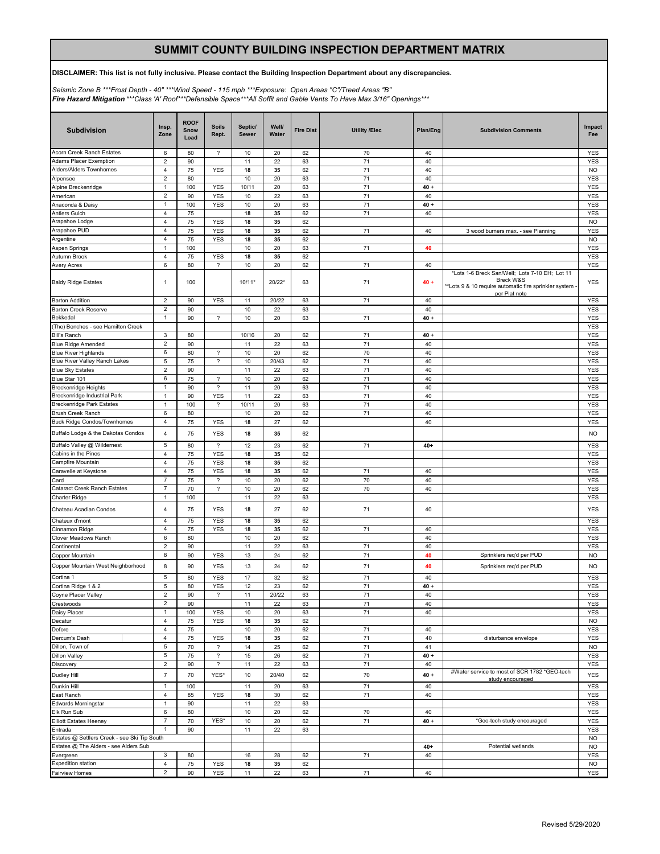# **SUMMIT COUNTY BUILDING INSPECTION DEPARTMENT MATRIX**

## **DISCLAIMER: This list is not fully inclusive. Please contact the Building Inspection Department about any discrepancies.**

*Seismic Zone B \*\*\*Frost Depth - 40" \*\*\*Wind Speed - 115 mph \*\*\*Exposure: Open Areas "C"/Treed Areas "B" Fire Hazard Mitigation \*\*\*Class 'A' Roof\*\*\*Defensible Space\*\*\*All Soffit and Gable Vents To Have Max 3/16" Openings\*\*\**

| <b>Subdivision</b>                                      | Insp.<br>Zone                             | <b>ROOF</b><br>Snow<br>Load | <b>Soils</b><br>Rept.      | Septic/<br><b>Sewer</b> | Well/<br>Water | <b>Fire Dist</b> | <b>Utility /Elec</b> | Plan/Eng     | <b>Subdivision Comments</b>                                                                                                          | Impact<br>Fee            |
|---------------------------------------------------------|-------------------------------------------|-----------------------------|----------------------------|-------------------------|----------------|------------------|----------------------|--------------|--------------------------------------------------------------------------------------------------------------------------------------|--------------------------|
| Acorn Creek Ranch Estates                               | 6                                         | 80                          | $\overline{\phantom{a}}$   | 10                      | 20             | 62               | 70                   | 40           |                                                                                                                                      | <b>YES</b>               |
| Adams Placer Exemption                                  | $\overline{2}$                            | 90                          |                            | 11                      | 22             | 63               | 71                   | 40           |                                                                                                                                      | <b>YES</b>               |
| Alders/Alders Townhomes                                 | 4                                         | 75                          | <b>YES</b>                 | 18                      | 35             | 62               | 71                   | 40           |                                                                                                                                      | <b>NO</b>                |
| Alpensee                                                | $\sqrt{2}$                                | 80                          |                            | 10                      | 20             | 63               | 71                   | 40           |                                                                                                                                      | <b>YES</b>               |
| Alpine Breckenridge                                     | $\mathbf{1}$                              | 100                         | <b>YES</b>                 | 10/11                   | 20             | 63               | 71<br>71             | $40 +$       |                                                                                                                                      | <b>YES</b>               |
| American                                                | $\overline{\mathbf{c}}$<br>$\overline{1}$ | 90                          | <b>YES</b>                 | 10                      | 22             | 63               |                      | 40           |                                                                                                                                      | <b>YES</b>               |
| Anaconda & Daisy<br><b>Antlers Gulch</b>                | 4                                         | 100<br>75                   | <b>YES</b>                 | 10<br>18                | 20<br>35       | 63<br>62         | 71<br>71             | $40 +$<br>40 |                                                                                                                                      | <b>YES</b><br><b>YES</b> |
| Arapahoe Lodge                                          | 4                                         | 75                          | <b>YES</b>                 | 18                      | 35             | 62               |                      |              |                                                                                                                                      | <b>NO</b>                |
| Arapahoe PUD                                            | 4                                         | 75                          | <b>YES</b>                 | 18                      | 35             | 62               | 71                   | 40           | 3 wood burners max. - see Planning                                                                                                   | <b>YES</b>               |
| Argentine                                               | 4                                         | 75                          | <b>YES</b>                 | 18                      | 35             | 62               |                      |              |                                                                                                                                      | <b>NO</b>                |
| Aspen Springs                                           | $\mathbf{1}$                              | 100                         |                            | 10                      | 20             | 63               | 71                   | 40           |                                                                                                                                      | <b>YES</b>               |
| Autumn Brook                                            | 4                                         | 75                          | <b>YES</b>                 | 18                      | 35             | 62               |                      |              |                                                                                                                                      | <b>YES</b>               |
| Avery Acres                                             | 6                                         | 80                          | $\overline{\phantom{a}}$   | 10                      | 20             | 62               | 71                   | 40           |                                                                                                                                      | <b>YES</b>               |
| <b>Baldy Ridge Estates</b>                              | $\mathbf{1}$                              | 100                         |                            | $10/11*$                | 20/22*         | 63               | 71                   | $40 +$       | *Lots 1-6 Breck San/Well; Lots 7-10 EH; Lot 11<br>Breck W&S<br>*Lots 9 & 10 require automatic fire sprinkler system<br>per Plat note | <b>YES</b>               |
| <b>Barton Addition</b>                                  | $\overline{2}$                            | 90                          | <b>YES</b>                 | 11                      | 20/22          | 63               | 71                   | 40           |                                                                                                                                      | <b>YES</b>               |
| Barton Creek Reserve                                    | 2                                         | 90                          |                            | 10                      | 22             | 63               |                      | 40           |                                                                                                                                      | <b>YES</b>               |
| Bekkedal                                                | $\mathbf{1}$                              | 90                          | $\overline{\phantom{a}}$   | 10                      | 20             | 63               | 71                   | $40 +$       |                                                                                                                                      | <b>YES</b>               |
| The) Benches - see Hamilton Creek                       |                                           |                             |                            |                         |                |                  |                      |              |                                                                                                                                      | <b>YES</b>               |
| <b>Bill's Ranch</b>                                     | 3                                         | 80                          |                            | 10/16                   | 20             | 62               | 71                   | $40 +$       |                                                                                                                                      | <b>YES</b>               |
| <b>Blue Ridge Amended</b>                               | $\overline{\mathbf{c}}$                   | 90                          |                            | 11                      | 22             | 63               | 71                   | 40           |                                                                                                                                      | <b>YES</b>               |
| <b>Blue River Highlands</b>                             | 6                                         | 80                          | $\overline{\phantom{a}}$   | 10                      | 20             | 62               | 70                   | 40           |                                                                                                                                      | <b>YES</b>               |
| Blue River Valley Ranch Lakes                           | 5                                         | 75                          | $\overline{\phantom{a}}$   | 10                      | 20/43          | 62               | 71                   | 40           |                                                                                                                                      | <b>YES</b>               |
| <b>Blue Sky Estates</b>                                 | $\overline{\mathbf{c}}$                   | 90                          |                            | 11                      | 22             | 63               | 71                   | 40           |                                                                                                                                      | <b>YES</b>               |
| Blue Star 101                                           | 6                                         | 75                          | $\boldsymbol{\mathcal{P}}$ | 10                      | 20             | 62               | 71                   | 40           |                                                                                                                                      | <b>YES</b>               |
| Breckenridge Heights                                    | 1                                         | 90                          | $\overline{\phantom{a}}$   | 11                      | 20             | 63               | 71                   | 40           |                                                                                                                                      | YES                      |
| Breckenridge Industrial Park                            | $\mathbf{1}$                              | 90                          | <b>YES</b>                 | 11                      | 22             | 63               | 71                   | 40           |                                                                                                                                      | <b>YES</b>               |
| Breckenridge Park Estates                               | $\mathbf{1}$                              | 100                         | $\overline{\phantom{a}}$   | 10/11                   | 20             | 63               | 71                   | 40           |                                                                                                                                      | <b>YES</b>               |
| Brush Creek Ranch                                       | 6                                         | 80                          |                            | 10                      | 20             | 62               | 71                   | 40           |                                                                                                                                      | <b>YES</b>               |
| <b>Buck Ridge Condos/Townhomes</b>                      | 4                                         | 75                          | <b>YES</b>                 | 18                      | 27             | 62               |                      | 40           |                                                                                                                                      | <b>YES</b>               |
| Buffalo Lodge & the Dakotas Condos                      | 4                                         | 75                          | <b>YES</b>                 | 18                      | 35             | 62               |                      |              |                                                                                                                                      | <b>NO</b>                |
| Buffalo Valley @ Wildernest                             | 5                                         | 80                          | $\overline{\phantom{a}}$   | 12                      | 23             | 62               | 71                   | $40+$        |                                                                                                                                      | <b>YES</b>               |
| Cabins in the Pines                                     | 4                                         | 75                          | <b>YES</b>                 | 18                      | 35             | 62               |                      |              |                                                                                                                                      | <b>YES</b>               |
| Campfire Mountain                                       | $\overline{4}$                            | 75                          | <b>YES</b>                 | 18                      | 35             | 62               |                      |              |                                                                                                                                      | <b>YES</b>               |
| Caravelle at Keystone                                   | 4                                         | 75                          | <b>YES</b>                 | 18                      | 35             | 62               | 71                   | 40           |                                                                                                                                      | <b>YES</b>               |
| Card                                                    | $\overline{7}$                            | 75                          | ?                          | 10                      | 20             | 62               | 70                   | 40           |                                                                                                                                      | <b>YES</b>               |
| Cataract Creek Ranch Estates                            | $\overline{7}$                            | 70                          | $\overline{\phantom{a}}$   | 10                      | 20             | 62               | 70                   | 40           |                                                                                                                                      | YES                      |
| Charter Ridge<br>Chateau Acadian Condos                 | $\mathbf{1}$<br>4                         | 100<br>75                   | <b>YES</b>                 | 11<br>18                | 22<br>27       | 63<br>62         | 71                   | 40           |                                                                                                                                      | YES<br><b>YES</b>        |
|                                                         | $\overline{4}$                            |                             |                            |                         |                |                  |                      |              |                                                                                                                                      |                          |
| Chateux d'mont                                          |                                           | 75                          | <b>YES</b>                 | 18                      | 35             | 62               |                      |              |                                                                                                                                      | <b>YES</b>               |
| Cinnamon Ridge                                          | 4<br>6                                    | 75<br>80                    | <b>YES</b>                 | 18<br>10                | 35<br>20       | 62               | 71                   | 40<br>40     |                                                                                                                                      | YES<br>YES               |
| Clover Meadows Ranch                                    | $\overline{2}$                            | 90                          |                            | 11                      | 22             | 62<br>63         | 71                   | 40           |                                                                                                                                      | <b>YES</b>               |
| Continental<br>Copper Mountain                          | 8                                         | 90                          | <b>YES</b>                 | 13                      | 24             | 62               | 71                   | 40           | Sprinklers req'd per PUD                                                                                                             | <b>NO</b>                |
| Copper Mountain West Neighborhood                       | 8                                         | 90                          | <b>YES</b>                 | 13                      | 24             | 62               | 71                   | 40           | Sprinklers req'd per PUD                                                                                                             | <b>NO</b>                |
| Cortina 1                                               | 5                                         | 80                          | <b>YES</b>                 | 17                      | 32             | 62               | 71                   | 40           |                                                                                                                                      | YES                      |
| Cortina Ridge 1 & 2                                     | 5                                         | 80                          | <b>YES</b>                 | 12                      | 23             | 62               | 71                   | $40 +$       |                                                                                                                                      | <b>YES</b>               |
| Coyne Placer Valley                                     | 2                                         | 90                          | ?                          | 11                      | 20/22          | 63               | 71                   | 40           |                                                                                                                                      | YES                      |
| Crestwoods                                              | $\overline{\mathbf{c}}$                   | 90                          |                            | 11                      | 22             | 63               | 71                   | 40           |                                                                                                                                      | YES                      |
| Daisy Placer                                            | $\mathbf{1}$                              | 100                         | <b>YES</b>                 | 10                      | 20             | 63               | 71                   | 40           |                                                                                                                                      | <b>YES</b>               |
| Decatur                                                 | 4                                         | 75                          | <b>YES</b>                 | 18                      | 35             | 62               |                      |              |                                                                                                                                      | <b>NO</b>                |
| Defore                                                  | $\sqrt{4}$                                | 75                          |                            | $10$                    | 20             | 62               | 71                   | 40           |                                                                                                                                      | YES                      |
| Dercum's Dash                                           | $\overline{4}$                            | 75                          | <b>YES</b>                 | 18                      | 35             | 62               | 71                   | 40           | disturbance envelope                                                                                                                 | <b>YES</b>               |
| Dillon, Town of                                         | 5                                         | 70                          | $\boldsymbol{\mathcal{P}}$ | 14                      | 25             | 62               | 71                   | 41           |                                                                                                                                      | <b>NO</b>                |
| <b>Dillon Valley</b>                                    | 5                                         | 75                          | $\boldsymbol{\mathcal{P}}$ | 15                      | 26             | 62               | 71                   | $40 +$       |                                                                                                                                      | <b>YES</b>               |
| Discovery                                               | $\overline{\mathbf{c}}$                   | 90                          | ?                          | 11                      | 22             | 63               | 71                   | 40           | #Water service to most of SCR 1782 *GEO-tech                                                                                         | YES                      |
| Dudley Hill                                             | $\overline{7}$                            | 70                          | YES*                       | 10                      | 20/40          | 62               | 70                   | $40+$        | study encouraged                                                                                                                     | YES                      |
| Dunkin Hill                                             | $\overline{1}$                            | 100                         |                            | 11                      | 20             | 63               | 71                   | 40           |                                                                                                                                      | <b>YES</b>               |
| East Ranch                                              | $\overline{4}$                            | 85                          | YES                        | 18                      | 30             | 62               | 71                   | 40           |                                                                                                                                      | YES                      |
| Edwards Morningstar                                     | $\mathbf{1}$                              | 90                          |                            | 11                      | 22             | 63               |                      |              |                                                                                                                                      | <b>YES</b>               |
| Elk Run Sub                                             | 6                                         | 80                          |                            | 10                      | 20             | 62               | 70                   | 40           |                                                                                                                                      | YES                      |
| <b>Elliott Estates Heeney</b>                           | $\overline{7}$                            | 70                          | YES*                       | $10$                    | 20             | 62               | 71                   | $40 +$       | *Geo-tech study encouraged                                                                                                           | <b>YES</b>               |
| Entrada<br>Estates @ Settlers Creek - see Ski Tip South | 1                                         | 90                          |                            | 11                      | 22             | 63               |                      |              |                                                                                                                                      | YES                      |
| Estates @ The Alders - see Alders Sub                   |                                           |                             |                            |                         |                |                  |                      | $40+$        | Potential wetlands                                                                                                                   | <b>NO</b><br><b>NO</b>   |
| Evergreen                                               | 3                                         | 80                          |                            | 16                      | 28             | 62               | 71                   | 40           |                                                                                                                                      | YES                      |
| <b>Expedition station</b>                               | $\sqrt{4}$                                | 75                          | <b>YES</b>                 | 18                      | 35             | 62               |                      |              |                                                                                                                                      | <b>NO</b>                |
| Fairview Homes                                          | $\overline{2}$                            | 90                          | <b>YES</b>                 | 11                      | 22             | 63               | $71\,$               | 40           |                                                                                                                                      | YES                      |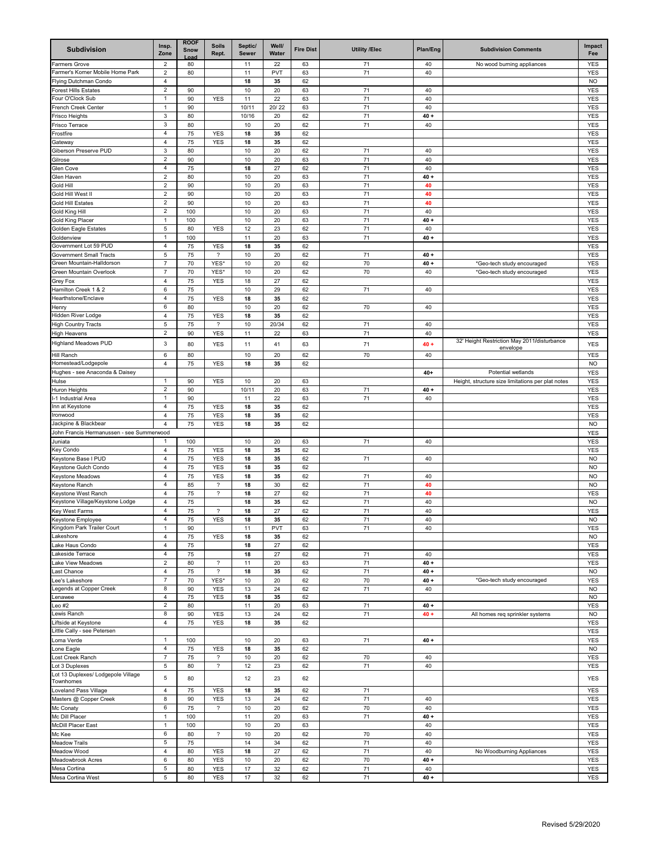| <b>Subdivision</b>                                 | Insp.<br>Zone                  | <b>ROOF</b><br>Snow<br>l oar | <b>Soils</b><br>Rept.      | Septic/<br><b>Sewer</b> | Well/<br>Water | <b>Fire Dist</b> | <b>Utility /Elec</b> | Plan/Eng     | <b>Subdivision Comments</b>                       | Impact<br>Fee            |
|----------------------------------------------------|--------------------------------|------------------------------|----------------------------|-------------------------|----------------|------------------|----------------------|--------------|---------------------------------------------------|--------------------------|
| Farmers Grove                                      | $\overline{2}$                 | 80                           |                            | 11                      | 22             | 63               | 71                   | 40           | No wood burning appliances                        | YES                      |
| Farmer's Korner Mobile Home Park                   | $\overline{2}$                 | 80                           |                            | 11                      | PVT            | 63               | 71                   | 40           |                                                   | <b>YES</b>               |
| Flying Dutchman Condo                              | 4                              |                              |                            | 18                      | 35             | 62               |                      |              |                                                   | <b>NO</b>                |
| Forest Hills Estates<br>Four O'Clock Sub           | $\overline{2}$<br>$\mathbf{1}$ | 90                           |                            | 10                      | 20             | 63               | 71                   | 40           |                                                   | <b>YES</b>               |
| French Creek Center                                | -1                             | 90<br>90                     | <b>YES</b>                 | 11<br>10/1              | 22<br>20/22    | 63<br>63         | 71<br>71             | 40<br>40     |                                                   | <b>YES</b><br><b>YES</b> |
| Frisco Heights                                     | 3                              | 80                           |                            | 10/16                   | 20             | 62               | 71                   | $40 +$       |                                                   | <b>YES</b>               |
| Frisco Terrace                                     | 3                              | 80                           |                            | 10                      | 20             | 62               | 71                   | 40           |                                                   | <b>YES</b>               |
| -rostfire                                          | 4                              | 75                           | <b>YES</b>                 | 18                      | 35             | 62               |                      |              |                                                   | YES                      |
| Gateway                                            | 4                              | 75                           | <b>YES</b>                 | 18                      | 35             | 62               |                      |              |                                                   | <b>YES</b>               |
| Giberson Preserve PUD                              | $\mathbf{3}$                   | 80                           |                            | 10                      | 20             | 62               | 71                   | 40           |                                                   | <b>YES</b>               |
| Gilrose                                            | $\sqrt{2}$                     | 90                           |                            | 10                      | 20             | 63               | 71                   | 40           |                                                   | <b>YES</b>               |
| Glen Cove                                          | 4                              | 75                           |                            | 18                      | 27             | 62               | 71                   | 40           |                                                   | <b>YES</b>               |
| Glen Haven                                         | $\overline{2}$                 | 80                           |                            | 10                      | 20             | 63               | 71                   | $40 +$       |                                                   | <b>YES</b>               |
| Gold Hill<br>Gold Hill West II                     | $\overline{c}$<br>2            | 90<br>90                     |                            | 10<br>10                | 20<br>20       | 63<br>63         | 71<br>71             | 40<br>40     |                                                   | <b>YES</b><br><b>YES</b> |
| Gold Hill Estates                                  | $\overline{2}$                 | 90                           |                            | 10                      | 20             | 63               | 71                   | 40           |                                                   | <b>YES</b>               |
| Gold King Hill                                     | $\overline{c}$                 | 100                          |                            | 10                      | 20             | 63               | 71                   | 40           |                                                   | <b>YES</b>               |
| Gold King Placer                                   | $\mathbf{1}$                   | 100                          |                            | 10                      | 20             | 63               | 71                   | $40 +$       |                                                   | <b>YES</b>               |
| Golden Eagle Estates                               | 5                              | 80                           | <b>YES</b>                 | 12                      | 23             | 62               | 71                   | 40           |                                                   | YES                      |
| Goldenview                                         | $\mathbf{1}$                   | 100                          |                            | 11                      | 20             | 63               | 71                   | $40 +$       |                                                   | <b>YES</b>               |
| Government Lot 59 PUD                              | $\overline{4}$                 | 75                           | <b>YES</b>                 | 18                      | 35             | 62               |                      |              |                                                   | <b>YES</b>               |
| <b>Government Small Tracts</b>                     | 5                              | 75                           | $\overline{\phantom{a}}$   | 10                      | 20             | 62               | 71                   | $40 +$       |                                                   | YES                      |
| Green Mountain-Halldorson                          | 7                              | 70                           | YES <sup>®</sup>           | 10                      | 20             | 62               | 70                   | $40 +$       | *Geo-tech study encouraged                        | <b>YES</b>               |
| Green Mountain Overlook                            | 7                              | 70                           | YES*                       | 10                      | 20             | 62               | 70                   | 40           | *Geo-tech study encouraged                        | <b>YES</b>               |
| Grey Fox<br>Hamilton Creek 1 & 2                   | 4<br>6                         | 75<br>75                     | <b>YES</b>                 | 18<br>10                | 27             | 62               | 71                   |              |                                                   | <b>YES</b>               |
| Hearthstone/Enclave                                | 4                              | 75                           | <b>YES</b>                 | 18                      | 29<br>35       | 62<br>62         |                      | 40           |                                                   | <b>YES</b><br><b>YES</b> |
| Henry                                              | 6                              | 80                           |                            | 10                      | 20             | 62               | 70                   | 40           |                                                   | YES                      |
| Hidden River Lodge                                 | $\overline{4}$                 | 75                           | <b>YES</b>                 | 18                      | 35             | 62               |                      |              |                                                   | <b>YES</b>               |
| <b>High Country Tracts</b>                         | 5                              | 75                           | ?                          | 10                      | 20/34          | 62               | 71                   | 40           |                                                   | YES                      |
| High Heavens                                       | $\overline{2}$                 | 90                           | <b>YES</b>                 | 11                      | 22             | 63               | 71                   | 40           |                                                   | <b>YES</b>               |
| <b>Highland Meadows PUD</b>                        | 3                              | 80                           | <b>YES</b>                 | 11                      | 41             | 63               | 71                   | $40 +$       | 32' Height Restriction May 2011/disturbance       | YES                      |
| Hill Ranch                                         | 6                              | 80                           |                            | 10                      | 20             | 62               | 70                   | 40           | envelope                                          | <b>YES</b>               |
| Homestead/Lodgepole                                | 4                              | 75                           | <b>YES</b>                 | 18                      | 35             | 62               |                      |              |                                                   | <b>NO</b>                |
| Hughes - see Anaconda & Daisey                     |                                |                              |                            |                         |                |                  |                      | $40+$        | Potential wetlands                                | <b>YES</b>               |
| Hulse                                              | $\mathbf{1}$                   | 90                           | <b>YES</b>                 | 10                      | 20             | 63               |                      |              | Height, structure size limitations per plat notes | <b>YES</b>               |
| Huron Heights                                      | $\overline{2}$                 | 90                           |                            | 10/1                    | 20             | 63               | 71                   | $40 +$       |                                                   | YES                      |
| -1 Industrial Area                                 | $\mathbf{1}$                   | 90                           |                            | 11                      | 22             | 63               | 71                   | 40           |                                                   | <b>YES</b>               |
| nn at Keystone                                     | $\overline{4}$                 | 75                           | <b>YES</b>                 | 18                      | 35             | 62               |                      |              |                                                   | <b>YES</b>               |
| Ironwood                                           | 4                              | 75                           | <b>YES</b>                 | 18                      | 35             | 62               |                      |              |                                                   | <b>YES</b>               |
| lackpine & Blackbear                               | 4                              | 75                           | <b>YES</b>                 | 18                      | 35             | 62               |                      |              |                                                   | <b>NO</b>                |
| John Francis Hermanussen - see Summerwood          | 1                              | 100                          |                            | 10                      | 20             |                  | 71                   | 40           |                                                   | YES<br><b>YES</b>        |
| Juniata<br>Key Condo                               | 4                              | 75                           | <b>YES</b>                 | 18                      | 35             | 63<br>62         |                      |              |                                                   | <b>YES</b>               |
| <b>Keystone Base I PUD</b>                         | 4                              | 75                           | <b>YES</b>                 | 18                      | 35             | 62               | 71                   | 40           |                                                   | <b>NO</b>                |
| Keystone Gulch Condo                               | 4                              | 75                           | <b>YES</b>                 | 18                      | 35             | 62               |                      |              |                                                   | <b>NO</b>                |
| Keystone Meadows                                   | 4                              | 75                           | <b>YES</b>                 | 18                      | 35             | 62               | 71                   | 40           |                                                   | <b>NO</b>                |
| Keystone Ranch                                     | $\overline{4}$                 | 85                           | $\overline{\phantom{a}}$   | 18                      | 30             | 62               | 71                   | 40           |                                                   | <b>NO</b>                |
| Keystone West Ranch                                | $\overline{4}$                 | 75                           | $\boldsymbol{\mathcal{P}}$ | 18                      | 27             | 62               | 71                   | 40           |                                                   | <b>YES</b>               |
| Keystone Village/Keystone Lodge                    | 4                              | 75                           |                            | 18                      | 35             | 62               | 71                   | 40           |                                                   | <b>NO</b>                |
| Key West Farms                                     | 4                              | 75                           | $\overline{\phantom{a}}$   | 18                      | 27             | 62               | 71                   | 40           |                                                   | <b>YES</b>               |
| Keystone Employee                                  | $\overline{4}$                 | 75                           | <b>YES</b>                 | 18                      | 35             | 62               | 71                   | 40           |                                                   | <b>NO</b>                |
| Kingdom Park Trailer Court                         | 1                              | 90                           |                            | 11                      | <b>PVT</b>     | 63               | 71                   | 40           |                                                   | YES                      |
| akeshore<br>Lake Haus Condo                        | 4<br>$\overline{4}$            | 75<br>75                     | <b>YES</b>                 | 18<br>18                | 35<br>27       | 62<br>62         |                      |              |                                                   | <b>NO</b><br><b>YES</b>  |
| akeside Terrace                                    | $\sqrt{4}$                     | 75                           |                            | 18                      | 27             | 62               | 71                   | 40           |                                                   | <b>YES</b>               |
| ake View Meadows                                   | $\overline{2}$                 | 80                           | ?                          | 11                      | 20             | 63               | 71                   | $40 +$       |                                                   | YES                      |
| ast Chance                                         | $\overline{4}$                 | 75                           | $\overline{\phantom{a}}$   | 18                      | 35             | 62               | 71                   | $40 +$       |                                                   | <b>NO</b>                |
| ee's Lakeshore                                     | $\overline{7}$                 | 70                           | YES*                       | 10                      | 20             | 62               | 70                   | $40 +$       | *Geo-tech study encouraged                        | <b>YES</b>               |
| egends at Copper Creek                             | 8                              | 90                           | <b>YES</b>                 | 13                      | 24             | 62               | 71                   | 40           |                                                   | <b>NO</b>                |
| Lenawee                                            | $\overline{4}$                 | 75                           | YES                        | 18                      | 35             | 62               |                      |              |                                                   | <b>NO</b>                |
| eo #2                                              | $\boldsymbol{2}$               | 80                           |                            | 11                      | 20             | 63               | 71                   | $40 +$       |                                                   | <b>YES</b>               |
| ewis Ranch                                         | 8                              | 90                           | <b>YES</b>                 | 13                      | 24             | 62               | 71                   | $40 +$       | All homes req sprinkler systems                   | <b>NO</b>                |
| Liftside at Keystone<br>ittle Cally - see Petersen | $\overline{4}$                 | 75                           | <b>YES</b>                 | 18                      | 35             | 62               |                      |              |                                                   | <b>YES</b>               |
| oma Verde                                          | $\mathbf{1}$                   | 100                          |                            | 10                      | 20             | 63               | 71                   | $40 +$       |                                                   | <b>YES</b><br><b>YES</b> |
| Lone Eagle                                         | $\overline{4}$                 | 75                           | <b>YES</b>                 | 18                      | 35             | 62               |                      |              |                                                   | <b>NO</b>                |
| ost Creek Ranch                                    | $\boldsymbol{7}$               | 75                           | $\overline{\mathcal{E}}$   | 10                      | 20             | 62               | 70                   | 40           |                                                   | YES                      |
| ot 3 Duplexes                                      | 5                              | 80                           | ?                          | 12                      | 23             | 62               | 71                   | 40           |                                                   | YES                      |
| Lot 13 Duplexes/ Lodgepole Village                 | 5                              | 80                           |                            | 12                      | 23             | 62               |                      |              |                                                   | YES                      |
| Townhomes                                          |                                |                              |                            |                         |                |                  |                      |              |                                                   |                          |
| Loveland Pass Village                              | 4                              | 75                           | <b>YES</b>                 | 18                      | 35             | 62               | 71                   |              |                                                   | <b>YES</b>               |
| Masters @ Copper Creek                             | 8                              | 90                           | <b>YES</b>                 | 13                      | 24             | 62               | 71                   | 40           |                                                   | <b>YES</b>               |
| Mc Conaty                                          | 6<br>$\mathbf{1}$              | 75                           | $\overline{\mathcal{E}}$   | 10                      | 20             | 62               | 70                   | 40           |                                                   | <b>YES</b>               |
| Mc Dill Placer<br>McDill Placer East               | 1                              | 100<br>100                   |                            | 11<br>10                | 20<br>20       | 63<br>63         | $71$                 | $40 +$<br>40 |                                                   | <b>YES</b><br>YES        |
| Mc Kee                                             | 6                              | 80                           | $\boldsymbol{\mathcal{P}}$ | 10                      | 20             | 62               | 70                   | 40           |                                                   | YES                      |
| <b>Meadow Trails</b>                               | 5                              | 75                           |                            | 14                      | 34             | 62               | 71                   | 40           |                                                   | <b>YES</b>               |
| Meadow Wood                                        | 4                              | 80                           | <b>YES</b>                 | 18                      | 27             | 62               | 71                   | 40           | No Woodburning Appliances                         | <b>YES</b>               |
| Meadowbrook Acres                                  | 6                              | 80                           | <b>YES</b>                 | 10                      | 20             | 62               | 70                   | $40 +$       |                                                   | YES                      |
| Mesa Cortina                                       | 5                              | 80                           | <b>YES</b>                 | 17                      | 32             | 62               | $71$                 | 40           |                                                   | YES                      |
| Mesa Cortina West                                  | 5                              | 80                           | <b>YES</b>                 | 17                      | 32             | 62               | 71                   | $40 +$       |                                                   | <b>YES</b>               |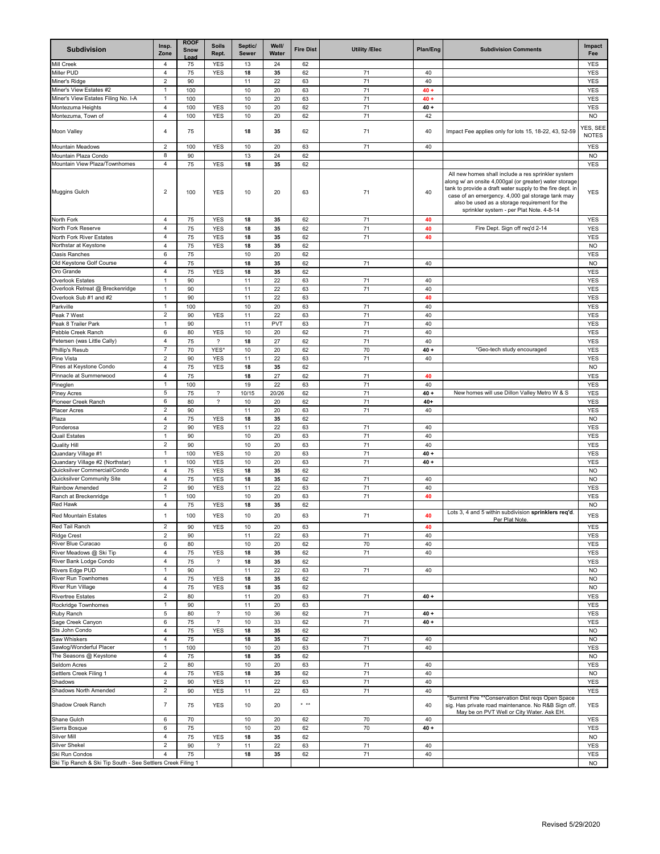| <b>Subdivision</b>                                          | Insp.<br>Zone                    | <b>ROOF</b><br><b>Snow</b><br>l nar | <b>Soils</b><br>Rept.                                | Septic/<br>Sewer | Well/<br>Water | <b>Fire Dist</b>           | <b>Utility /Elec</b> | Plan/Eng | <b>Subdivision Comments</b>                                                                                                                                                                                                                                                                                                | Impact<br>Fee            |
|-------------------------------------------------------------|----------------------------------|-------------------------------------|------------------------------------------------------|------------------|----------------|----------------------------|----------------------|----------|----------------------------------------------------------------------------------------------------------------------------------------------------------------------------------------------------------------------------------------------------------------------------------------------------------------------------|--------------------------|
| <b>Mill Creek</b>                                           | 4                                | 75                                  | <b>YES</b>                                           | 13               | 24             | 62                         |                      |          |                                                                                                                                                                                                                                                                                                                            | YES                      |
| Miller PUD                                                  | 4                                | 75                                  | <b>YES</b>                                           | 18               | 35             | 62                         | 71                   | 40       |                                                                                                                                                                                                                                                                                                                            | <b>YES</b>               |
| Miner's Ridge                                               | $\overline{2}$                   | 90                                  |                                                      | 11               | 22             | 63                         | 71                   | 40       |                                                                                                                                                                                                                                                                                                                            | <b>YES</b>               |
| Miner's View Estates #2                                     | $\mathbf{1}$                     | 100                                 |                                                      | 10               | 20             | 63                         | 71                   | $40 +$   |                                                                                                                                                                                                                                                                                                                            | <b>YES</b>               |
| Miner's View Estates Filing No. I-A                         | $\mathbf{1}$                     | 100                                 |                                                      | 10               | 20             | 63                         | 71                   | $40 +$   |                                                                                                                                                                                                                                                                                                                            | YES                      |
| Montezuma Heights                                           | 4                                | 100                                 | <b>YES</b>                                           | 10               | 20             | 62                         | 71                   | $40 +$   |                                                                                                                                                                                                                                                                                                                            | <b>YES</b>               |
| Montezuma, Town of                                          | $\overline{4}$                   | 100                                 | <b>YES</b>                                           | 10               | 20             | 62                         | 71                   | 42       |                                                                                                                                                                                                                                                                                                                            | <b>NO</b>                |
| Moon Valley                                                 | 4                                | 75                                  |                                                      | 18               | 35             | 62                         | 71                   | 40       | Impact Fee applies only for lots 15, 18-22, 43, 52-59                                                                                                                                                                                                                                                                      | YES, SEE<br><b>NOTES</b> |
| Mountain Meadows                                            | $\overline{2}$                   | 100                                 | <b>YES</b>                                           | 10               | 20             | 63                         | 71                   | 40       |                                                                                                                                                                                                                                                                                                                            | <b>YES</b>               |
| Mountain Plaza Condo                                        | 8                                | 90                                  |                                                      | 13               | 24             | 62                         |                      |          |                                                                                                                                                                                                                                                                                                                            | <b>NO</b>                |
| Mountain View Plaza/Townhomes                               | 4                                | 75                                  | <b>YES</b>                                           | 18               | 35             | 62                         |                      |          |                                                                                                                                                                                                                                                                                                                            | <b>YES</b>               |
| Muggins Gulch                                               | $\overline{2}$                   | 100                                 | <b>YES</b>                                           | 10               | 20             | 63                         | 71                   | 40       | All new homes shall include a res sprinkler system<br>along w/ an onsite 4,000gal (or greater) water storage<br>tank to provide a draft water supply to the fire dept. in<br>case of an emergency. 4,000 gal storage tank may<br>also be used as a storage requirement for the<br>sprinkler system - per Plat Note. 4-8-14 | YES                      |
| North Fork                                                  | 4                                | 75                                  | <b>YES</b>                                           | 18               | 35             | 62                         | 71                   | 40       |                                                                                                                                                                                                                                                                                                                            | <b>YES</b>               |
| North Fork Reserve                                          | 4                                | 75                                  | <b>YES</b>                                           | 18               | 35             | 62                         | 71                   | 40       | Fire Dept. Sign off req'd 2-14                                                                                                                                                                                                                                                                                             | <b>YES</b>               |
| North Fork River Estates                                    | 4                                | 75                                  | <b>YES</b>                                           | 18               | 35             | 62                         | 71                   | 40       |                                                                                                                                                                                                                                                                                                                            | YES                      |
| Northstar at Keystone                                       | 4                                | 75                                  | <b>YES</b>                                           | 18               | 35             | 62                         |                      |          |                                                                                                                                                                                                                                                                                                                            | <b>NO</b>                |
| Oasis Ranches                                               | 6                                | 75                                  |                                                      | 10               | 20             | 62                         |                      |          |                                                                                                                                                                                                                                                                                                                            | <b>YES</b>               |
| Old Keystone Golf Course                                    | $\overline{4}$                   | 75                                  |                                                      | 18               | 35             | 62                         | 71                   | 40       |                                                                                                                                                                                                                                                                                                                            | <b>NO</b>                |
| Oro Grande                                                  | 4                                | 75                                  | <b>YES</b>                                           | 18               | 35             | 62                         |                      |          |                                                                                                                                                                                                                                                                                                                            | <b>YES</b>               |
| <b>Overlook Estates</b>                                     | $\overline{1}$                   | 90                                  |                                                      | 11               | 22             | 63                         | 71                   | 40       |                                                                                                                                                                                                                                                                                                                            | <b>YES</b>               |
| Overlook Retreat @ Breckenridge                             | $\mathbf{1}$                     | 90                                  |                                                      | 11               | 22             | 63                         | 71                   | 40       |                                                                                                                                                                                                                                                                                                                            | <b>YES</b>               |
| Overlook Sub #1 and #2                                      | $\overline{1}$                   | 90                                  |                                                      | 11               | 22             | 63                         |                      | 40       |                                                                                                                                                                                                                                                                                                                            | <b>YES</b>               |
| Parkville                                                   | $\overline{1}$                   | 100                                 |                                                      | 10               | 20             | 63                         | 71                   | 40       |                                                                                                                                                                                                                                                                                                                            | <b>YES</b>               |
| Peak 7 West                                                 | $\overline{2}$                   | 90                                  | <b>YES</b>                                           | 11               | 22             | 63                         | 71                   | 40       |                                                                                                                                                                                                                                                                                                                            | <b>YES</b>               |
| Peak 8 Trailer Park                                         | $\mathbf{1}$                     | 90                                  |                                                      | 11               | PVT            | 63                         | 71                   | 40       |                                                                                                                                                                                                                                                                                                                            | <b>YES</b>               |
| Pebble Creek Ranch                                          | 6                                | 80                                  | <b>YES</b>                                           | 10               | 20             | 62                         | 71                   | 40       |                                                                                                                                                                                                                                                                                                                            | YES                      |
| Petersen (was Little Cally)                                 | 4                                | 75                                  | $\overline{\phantom{a}}$                             | 18               | 27             | 62                         | 71                   | 40       |                                                                                                                                                                                                                                                                                                                            | <b>YES</b>               |
| Phillip's Resub                                             | $\overline{7}$                   | 70                                  | YES*                                                 | 10               | 20             | 62                         | 70                   | $40 +$   | *Geo-tech study encouraged                                                                                                                                                                                                                                                                                                 | <b>YES</b>               |
| Pine Vista                                                  | $\overline{2}$                   | 90                                  | <b>YES</b>                                           | 11               | 22             | 63                         | 71                   | 40       |                                                                                                                                                                                                                                                                                                                            | <b>YES</b>               |
| Pines at Keystone Condo                                     | 4                                | 75                                  | <b>YES</b>                                           | 18               | 35             | 62                         |                      |          |                                                                                                                                                                                                                                                                                                                            | <b>NO</b>                |
| Pinnacle at Summerwood                                      | 4                                | 75                                  |                                                      | 18               | 27             | 62                         | 71                   | 40       |                                                                                                                                                                                                                                                                                                                            | <b>YES</b>               |
| Pineglen                                                    | $\mathbf{1}$                     | 100                                 |                                                      | 19               | 22             | 63                         | 71                   | 40       |                                                                                                                                                                                                                                                                                                                            | <b>YES</b>               |
| Piney Acres                                                 | 5                                | 75                                  | $\overline{\phantom{a}}$                             | 10/15            | 20/26          | 62                         | 71                   | $40 +$   | New homes will use Dillon Valley Metro W & S                                                                                                                                                                                                                                                                               | <b>YES</b>               |
| Pioneer Creek Ranch                                         | 6                                | 80                                  | $\overline{\phantom{a}}$                             | 10               | 20             | 62                         | 71                   | $40+$    |                                                                                                                                                                                                                                                                                                                            | <b>YES</b>               |
| Placer Acres                                                | $\overline{\mathbf{c}}$          | 90                                  |                                                      | 11               | 20             | 63                         | 71                   | 40       |                                                                                                                                                                                                                                                                                                                            | YES                      |
| Plaza                                                       | 4                                | 75                                  | <b>YES</b>                                           | 18               | 35             | 62                         |                      |          |                                                                                                                                                                                                                                                                                                                            | <b>NO</b>                |
| Ponderosa                                                   | $\overline{2}$                   | 90                                  | <b>YES</b>                                           | 11               | 22             | 63                         | 71                   | 40       |                                                                                                                                                                                                                                                                                                                            | YES                      |
| <b>Quail Estates</b>                                        | $\mathbf{1}$                     | 90                                  |                                                      | 10               | 20             | 63                         | 71                   | 40       |                                                                                                                                                                                                                                                                                                                            | <b>YES</b>               |
| <b>Quality Hill</b>                                         | $\overline{2}$                   | 90                                  |                                                      | 10               | 20             | 63                         | 71                   | 40       |                                                                                                                                                                                                                                                                                                                            | <b>YES</b>               |
| Quandary Village #1                                         | $\mathbf{1}$                     | 100                                 | <b>YES</b>                                           | 10               | 20             | 63                         | 71                   | $40 +$   |                                                                                                                                                                                                                                                                                                                            | YES                      |
| Quandary Village #2 (Northstar)                             | $\mathbf{1}$                     | 100                                 | <b>YES</b>                                           | 10               | 20             | 63                         | 71                   | $40 +$   |                                                                                                                                                                                                                                                                                                                            | <b>YES</b>               |
| Quicksilver Commercial/Condo                                | $\overline{4}$                   | 75                                  | <b>YES</b>                                           | 18               | 35             | 62                         |                      |          |                                                                                                                                                                                                                                                                                                                            | <b>NO</b>                |
| Quicksilver Community Site                                  | 4                                | 75                                  | YES                                                  | 18               | 35             | 62                         | 71                   | 40       |                                                                                                                                                                                                                                                                                                                            | <b>NO</b>                |
| Rainbow Amended                                             | $\overline{2}$                   | 90                                  | <b>YES</b>                                           | 11               | 22             | 63                         | 71                   | 40       |                                                                                                                                                                                                                                                                                                                            | <b>YES</b>               |
| Ranch at Breckenridge                                       | $\mathbf{1}$                     | 100                                 |                                                      | 10               | 20             | 63                         | 71                   | 40       |                                                                                                                                                                                                                                                                                                                            | <b>YES</b>               |
| <b>Red Hawk</b>                                             | 4                                | 75                                  | YES                                                  | 18               | 35             | 62                         |                      |          |                                                                                                                                                                                                                                                                                                                            | <b>NO</b>                |
| <b>Red Mountain Estates</b>                                 | $\mathbf{1}$                     | 100                                 | <b>YES</b>                                           | 10               | 20             | 63                         | 71                   | 40       | Lots 3, 4 and 5 within subdivision sprinklers req'd.<br>Per Plat Note.                                                                                                                                                                                                                                                     | <b>YES</b>               |
| Red Tail Ranch                                              | 2                                | 90                                  | YES                                                  | 10               | 20             | 63                         |                      | 40       |                                                                                                                                                                                                                                                                                                                            | YES                      |
| <b>Ridge Crest</b>                                          | $\overline{2}$                   | 90                                  |                                                      | 11               | 22             | 63                         | 71                   | 40       |                                                                                                                                                                                                                                                                                                                            | <b>YES</b>               |
| River Blue Curacao<br>River Meadows @ Ski Tip               | 6                                | 80                                  |                                                      | 10               | 20             | 62                         | 70                   | 40       |                                                                                                                                                                                                                                                                                                                            | YES                      |
| River Bank Lodge Condo                                      | $\overline{4}$<br>$\overline{4}$ | 75                                  | <b>YES</b><br>$\overline{\phantom{a}}$               | 18               | 35             | 62                         | 71                   | 40       |                                                                                                                                                                                                                                                                                                                            | <b>YES</b>               |
|                                                             |                                  | 75                                  |                                                      | 18               | 35             | 62                         | 71                   |          |                                                                                                                                                                                                                                                                                                                            | <b>YES</b>               |
| <b>Rivers Edge PUD</b><br><b>River Run Townhomes</b>        | $\overline{1}$<br>$\overline{4}$ | 90                                  |                                                      | 11               | 22             | 63                         |                      | 40       |                                                                                                                                                                                                                                                                                                                            | <b>NO</b><br><b>NO</b>   |
| River Run Village                                           | $\overline{4}$                   | 75<br>75                            | <b>YES</b><br><b>YES</b>                             | 18<br>18         | 35<br>35       | 62<br>62                   |                      |          |                                                                                                                                                                                                                                                                                                                            | <b>NO</b>                |
|                                                             | $\overline{2}$                   | 80                                  |                                                      |                  |                |                            | 71                   |          |                                                                                                                                                                                                                                                                                                                            |                          |
| <b>Rivertree Estates</b><br>Rockridge Townhomes             | 1                                | 90                                  |                                                      | 11<br>11         | 20<br>20       | 63<br>63                   |                      | $40 +$   |                                                                                                                                                                                                                                                                                                                            | YES<br><b>YES</b>        |
|                                                             |                                  |                                     |                                                      |                  |                |                            |                      |          |                                                                                                                                                                                                                                                                                                                            |                          |
| Ruby Ranch                                                  | 5<br>6                           | 80                                  | $\overline{\phantom{a}}$<br>$\overline{\phantom{a}}$ | 10               | 36             | 62                         | 71<br>71             | $40 +$   |                                                                                                                                                                                                                                                                                                                            | <b>YES</b>               |
| Sage Creek Canyon<br>Sts John Condo                         |                                  | 75                                  |                                                      | 10               | 33             | 62                         |                      | $40 +$   |                                                                                                                                                                                                                                                                                                                            | <b>YES</b>               |
|                                                             | 4<br>4                           | 75<br>75                            | YES                                                  | 18<br>18         | 35<br>35       | 62<br>62                   | 71                   | 40       |                                                                                                                                                                                                                                                                                                                            | <b>NO</b><br><b>NO</b>   |
| Saw Whiskers<br>Sawlog/Wonderful Placer                     | 1                                | 100                                 |                                                      | 10               |                |                            |                      | 40       |                                                                                                                                                                                                                                                                                                                            |                          |
|                                                             | $\overline{4}$                   |                                     |                                                      |                  | 20             | 63                         | 71                   |          |                                                                                                                                                                                                                                                                                                                            | <b>YES</b>               |
| The Seasons @ Keystone                                      | $\overline{2}$                   | 75<br>80                            |                                                      | 18<br>10         | 35<br>20       | 62<br>63                   |                      | 40       |                                                                                                                                                                                                                                                                                                                            | <b>NO</b><br><b>YES</b>  |
| Seldom Acres                                                |                                  |                                     |                                                      |                  |                |                            | 71                   |          |                                                                                                                                                                                                                                                                                                                            |                          |
| Settlers Creek Filing 1                                     | 4                                | 75                                  | YES                                                  | 18               | 35             | 62                         | 71                   | 40       |                                                                                                                                                                                                                                                                                                                            | <b>NO</b>                |
| Shadows<br>Shadows North Amended                            | $\overline{2}$                   | 90                                  | YES                                                  | 11               | 22             | 63                         | 71                   | 40       |                                                                                                                                                                                                                                                                                                                            | <b>YES</b>               |
| Shadow Creek Ranch                                          | $\overline{2}$<br>$\overline{7}$ | 90<br>75                            | <b>YES</b><br><b>YES</b>                             | 11<br>10         | 22<br>20       | 63<br>$\star$ $\star\star$ | 71                   | 40<br>40 | *Summit Fire **Conservation Dist reqs Open Space<br>sig. Has private road maintenance. No R&B Sign off.                                                                                                                                                                                                                    | <b>YES</b><br>YES        |
|                                                             |                                  |                                     |                                                      |                  |                |                            |                      |          | May be on PVT Well or City Water. Ask EH.                                                                                                                                                                                                                                                                                  |                          |
| Shane Gulch                                                 | 6                                | 70                                  |                                                      | 10               | 20             | 62                         | 70                   | 40       |                                                                                                                                                                                                                                                                                                                            | YES                      |
| Sierra Bosque                                               | 6                                | 75                                  |                                                      | 10               | 20             | 62                         | 70                   | $40 +$   |                                                                                                                                                                                                                                                                                                                            | <b>YES</b>               |
| Silver Mill                                                 | $\overline{4}$                   | 75                                  | YES                                                  | 18               | 35             | 62                         |                      |          |                                                                                                                                                                                                                                                                                                                            | <b>NO</b>                |
| <b>Silver Shekel</b>                                        | $\overline{2}$                   | 90                                  | $\overline{\phantom{a}}$                             | 11               | 22             | 63                         | 71                   | 40       |                                                                                                                                                                                                                                                                                                                            | <b>YES</b>               |
| Ski Run Condos                                              | 4                                | 75                                  |                                                      | 18               | 35             | 62                         | 71                   | 40       |                                                                                                                                                                                                                                                                                                                            | <b>YES</b>               |
| Ski Tip Ranch & Ski Tip South - See Settlers Creek Filing 1 |                                  |                                     |                                                      |                  |                |                            |                      |          |                                                                                                                                                                                                                                                                                                                            | <b>NO</b>                |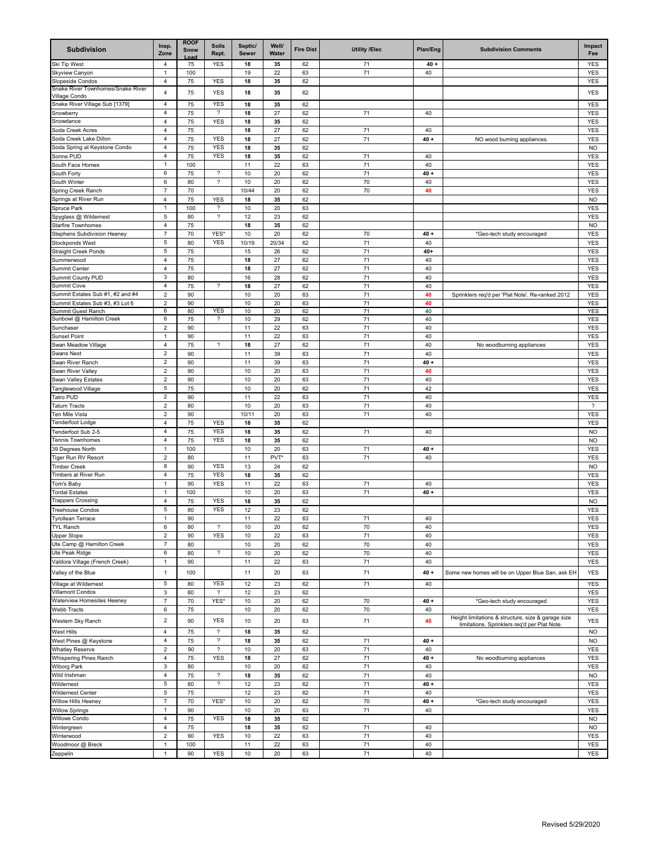| <b>Subdivision</b>                                      | Insp.<br>Zone                    | <b>ROOF</b><br><b>Snow</b><br>nad | <b>Soils</b><br>Rept.              | Septic/<br>Sewer | Well/<br>Water | <b>Fire Dist</b> | <b>Utility /Elec</b> | Plan/Eng     | <b>Subdivision Comments</b>                        | Impact<br>Fee            |
|---------------------------------------------------------|----------------------------------|-----------------------------------|------------------------------------|------------------|----------------|------------------|----------------------|--------------|----------------------------------------------------|--------------------------|
| Ski Tip West                                            | 4                                | 75                                | YES                                | 18               | 35             | 62               | 71                   | $40 +$       |                                                    | YES                      |
| Skyview Canyon                                          | $\mathbf{1}$                     | 100                               |                                    | 19               | 22             | 63               | 71                   | 40           |                                                    | <b>YES</b>               |
| <b>Slopeside Condos</b>                                 | 4                                | 75                                | <b>YES</b>                         | 18               | 35             | 62               |                      |              |                                                    | <b>YES</b>               |
| Snake River Townhomes/Snake River<br>√illage Condo      | 4                                | 75                                | <b>YES</b>                         | 18               | 35             | 62               |                      |              |                                                    | <b>YES</b>               |
| Snake River Village Sub [1379]                          | 4                                | 75                                | <b>YES</b>                         | 18               | 35             | 62               |                      |              |                                                    | YES                      |
| Snowberry                                               | 4                                | 75                                | $\overline{\phantom{a}}$           | 18               | 27             | 62               | 71                   | 40           |                                                    | <b>YES</b>               |
| Snowdance                                               | $\overline{4}$                   | 75                                | <b>YES</b>                         | 18               | 35             | 62               |                      |              |                                                    | <b>YES</b>               |
| Soda Creek Acres                                        | 4                                | 75                                |                                    | 18               | 27             | 62               | 71                   | 40           |                                                    | YES                      |
| Soda Creek Lake Dillon<br>Soda Spring at Keystone Condo | 4<br>$\overline{4}$              | 75<br>75                          | <b>YES</b><br><b>YES</b>           | 18<br>18         | 27<br>35       | 62<br>62         | 71                   | $40 +$       | NO wood burning appliances.                        | <b>YES</b><br><b>NO</b>  |
| Sonne PUD                                               | 4                                | 75                                | <b>YES</b>                         | 18               | 35             | 62               | 71                   | 40           |                                                    | <b>YES</b>               |
| South Face Homes                                        | $\mathbf{1}$                     | 100                               |                                    | 11               | 22             | 63               | 71                   | 40           |                                                    | <b>YES</b>               |
| South Forty                                             | 6                                | 75                                | $\overline{\phantom{a}}$           | 10               | 20             | 62               | 71                   | $40 +$       |                                                    | <b>YES</b>               |
| South Winter                                            | 6                                | 80                                | ?                                  | 10               | 20             | 62               | 70                   | 40           |                                                    | YES                      |
| <b>Spring Creek Ranch</b>                               | $\overline{7}$                   | 70                                |                                    | 10/44            | 20             | 62               | 70                   | 40           |                                                    | <b>YES</b>               |
| Springs at River Run                                    | $\sqrt{4}$                       | 75                                | <b>YES</b>                         | 18               | 35             | 62               |                      |              |                                                    | <b>NO</b>                |
| Spruce Park<br>Spyglass @ Wildernest                    | $\mathbf{1}$<br>5                | 100<br>80                         | ?<br>$\overline{\phantom{a}}$      | 10<br>12         | 20<br>23       | 63<br>62         |                      |              |                                                    | YES<br>YES               |
| Starfire Townhomes                                      | $\overline{4}$                   | 75                                |                                    | 18               | 35             | 62               |                      |              |                                                    | <b>NO</b>                |
| <b>Stephens Subdivision Heeney</b>                      | $\overline{7}$                   | 70                                | YES*                               | 10               | 20             | 62               | 70                   | $40 +$       | *Geo-tech study encouraged                         | <b>YES</b>               |
| <b>Stockponds West</b>                                  | 5                                | 80                                | YES                                | 10/19            | 20/34          | 62               | 71                   | 40           |                                                    | <b>YES</b>               |
| <b>Straight Creek Ponds</b>                             | 5                                | 75                                |                                    | 15               | 26             | 62               | 71                   | $40+$        |                                                    | <b>YES</b>               |
| Summerwood                                              | 4                                | 75                                |                                    | 18               | 27             | 62               | 71                   | 40           |                                                    | <b>YES</b>               |
| Summit Center                                           | $\overline{4}$                   | 75                                |                                    | 18               | 27             | 62               | 71                   | 40           |                                                    | <b>YES</b>               |
| <b>Summit County PUD</b>                                | $\mathbf{3}$                     | 80<br>75                          | $\overline{\phantom{a}}$           | 16<br>18         | 28<br>27       | 62<br>62         | 71<br>71             | 40<br>40     |                                                    | <b>YES</b>               |
| Summit Cove<br>Summit Estates Sub #1, #2 and #4         | 4<br>$\overline{c}$              | 90                                |                                    | 10               | 20             | 63               | 71                   | 40           | Sprinklers req'd per 'Plat Note'. Re-ranked 2012   | <b>YES</b><br><b>YES</b> |
| Summit Estates Sub #3, #3 Lot 6                         | $\sqrt{2}$                       | 90                                |                                    | 10               | 20             | 63               | 71                   | 40           |                                                    | <b>YES</b>               |
| <b>Summit Guest Ranch</b>                               | 6                                | 80                                | YES                                | 10               | 20             | 62               | 71                   | 40           |                                                    | <b>YES</b>               |
| Sunbowl @ Hamilton Creek                                | 6                                | 75                                | ?                                  | 10               | 29             | 62               | 71                   | 40           |                                                    | YES                      |
| Sunchaser                                               | $\overline{c}$                   | 90                                |                                    | 11               | 22             | 63               | 71                   | 40           |                                                    | YES                      |
| Sunset Point<br>Swan Meadow Village                     | 1<br>$\overline{4}$              | 90<br>75                          | $\overline{\phantom{a}}$           | 11<br>18         | 22<br>27       | 63<br>62         | 71<br>71             | 40<br>40     |                                                    | <b>YES</b><br><b>YES</b> |
| Swans Nest                                              | $\overline{2}$                   | 90                                |                                    | 11               | 39             | 63               | 71                   | 40           | No woodburning appliances                          | <b>YES</b>               |
| Swan River Ranch                                        | $\overline{2}$                   | 90                                |                                    | 11               | 39             | 63               | 71                   | $40 +$       |                                                    | YES                      |
| Swan River Valley                                       | $\sqrt{2}$                       | 90                                |                                    | 10               | 20             | 63               | 71                   | 40           |                                                    | YES                      |
| Swan Valley Estates                                     | $\overline{c}$                   | 90                                |                                    | 10               | 20             | 63               | 71                   | 40           |                                                    | <b>YES</b>               |
| <b>Tanglewood Village</b>                               | 5                                | 75                                |                                    | 10               | 20             | 62               | 71                   | 42           |                                                    | <b>YES</b>               |
| <b>Tatro PUD</b>                                        | $\sqrt{2}$                       | 90                                |                                    | 11               | 22             | 63               | 71                   | 40           |                                                    | <b>YES</b>               |
| <b>Tatum Tracts</b><br><b>Ten Mile Vista</b>            | $\overline{2}$<br>$\overline{c}$ | 80                                |                                    | 10               | 20             | 63               | 71                   | 40           |                                                    | $\overline{\phantom{a}}$ |
| <b>Tenderfoot Lodge</b>                                 | $\overline{4}$                   | 90<br>75                          | <b>YES</b>                         | 10/11<br>18      | 20<br>35       | 63<br>62         | 71                   | 40           |                                                    | <b>YES</b><br>YES        |
| Tenderfoot Sub 2-5                                      | 4                                | 75                                | <b>YES</b>                         | 18               | 35             | 62               | 71                   | 40           |                                                    | <b>NO</b>                |
| <b>Tennis Townhomes</b>                                 | $\overline{4}$                   | 75                                | <b>YES</b>                         | 18               | 35             | 62               |                      |              |                                                    | <b>NO</b>                |
| 39 Degrees North                                        | $\mathbf{1}$                     | 100                               |                                    | 10               | 20             | 63               | 71                   | $40 +$       |                                                    | <b>YES</b>               |
| Tiger Run RV Resort                                     | $\overline{2}$                   | 80                                |                                    | 11               | <b>PVT</b>     | 63               | 71                   | 40           |                                                    | YES                      |
| Timber Creek                                            | 8                                | 90                                | <b>YES</b>                         | 13               | 24             | 62               |                      |              |                                                    | <b>NO</b>                |
| <b>Timbers at River Run</b>                             | $\overline{4}$                   | 75                                | <b>YES</b>                         | 18               | 35             | 62               |                      |              |                                                    | <b>YES</b>               |
| Tom's Baby<br><b>Tordal Estates</b>                     | $\mathbf{1}$<br>-1               | 90<br>100                         | <b>YES</b>                         | 11<br>10         | 22<br>20       | 63<br>63         | 71<br>71             | 40<br>$40 +$ |                                                    | <b>YES</b><br>YES        |
| <b>Trappers Crossing</b>                                | 4                                | 75                                | YES                                | 18               | 35             | 62               |                      |              |                                                    | <b>NO</b>                |
| Treehouse Condos                                        | 5                                | 80                                | <b>YES</b>                         | 12               | 23             | 62               |                      |              |                                                    | <b>YES</b>               |
| <b>Tyrollean Terrace</b>                                | $\mathbf{1}$                     | 90                                |                                    | 11               | 22             | 63               | 71                   | 40           |                                                    | <b>YES</b>               |
| <b>TYL Ranch</b>                                        | 6                                | 80                                | ?                                  | 10               | 20             | 62               | 70                   | 40           |                                                    | YES                      |
| Jpper Slope                                             | $\overline{c}$                   | 90                                | <b>YES</b>                         | 10               | 22             | 63               | 71                   | 40           |                                                    | <b>YES</b>               |
| Jte Camp @ Hamilton Creek                               | $\overline{7}$                   | 80                                |                                    | 10               | 20             | 62               | 70                   | 40           |                                                    | YES                      |
| Jte Peak Ridge<br>Valdora Village (French Creek)        | 6<br>$\mathbf{1}$                | 80<br>90                          | $\overline{\phantom{a}}$           | 10<br>11         | 20<br>22       | 62<br>63         | 70<br>71             | 40<br>40     |                                                    | <b>YES</b><br>YES        |
|                                                         |                                  |                                   |                                    |                  |                |                  |                      |              |                                                    |                          |
| Valley of the Blue                                      | $\mathbf{1}$                     | 100                               |                                    | 11               | 20             | 63               | 71                   | $40 +$       | Some new homes will be on Upper Blue San, ask EH   | <b>YES</b>               |
| Village at Wildernest                                   | 5                                | 80                                | <b>YES</b>                         | 12               | 23             | 62               | 71                   | 40           |                                                    | YES                      |
| Villamont Condos<br><b>Naterview Homesites Heeney</b>   | $\mathbf{3}$<br>$\overline{7}$   | 80<br>70                          | $\boldsymbol{\mathcal{P}}$<br>YES* | 12<br>10         | 23<br>20       | 62<br>62         | 70                   | $40 +$       | *Geo-tech study encouraged                         | <b>YES</b><br><b>YES</b> |
| Webb Tracts                                             | 6                                | 75                                |                                    | 10               | 20             | 62               | 70                   | 40           |                                                    | <b>YES</b>               |
|                                                         | $\overline{2}$                   | 90                                | <b>YES</b>                         | 10               | 20             | 63               | 71                   | 40           | Height limitations & structure, size & garage size | <b>YES</b>               |
| Western Sky Ranch                                       |                                  |                                   | $\overline{\mathcal{E}}$           |                  |                |                  |                      |              | limitations. Sprinklers reg'd per Plat Note.       |                          |
| <b>Nest Hills</b><br>Nest Pines @ Keystone              | 4<br>$\overline{4}$              | 75<br>75                          | ?                                  | 18<br>18         | 35<br>35       | 62<br>62         | 71                   | $40 +$       |                                                    | <b>NO</b><br><b>NO</b>   |
| Whatley Reserve                                         | $\sqrt{2}$                       | 90                                | $\overline{\phantom{a}}$           | 10               | 20             | 63               | 71                   | 40           |                                                    | <b>YES</b>               |
| <b>Nhispering Pines Ranch</b>                           | $\overline{4}$                   | 75                                | <b>YES</b>                         | 18               | 27             | 62               | 71                   | $40 +$       | No woodburning appliances                          | YES                      |
| <b>Niborg Park</b>                                      | $\mathbf{3}$                     | 80                                |                                    | 10               | 20             | 62               | 71                   | 40           |                                                    | YES                      |
| Wild Irishman                                           | $\overline{4}$                   | 75                                | $\overline{\phantom{a}}$           | 18               | 35             | 62               | 71                   | 40           |                                                    | <b>NO</b>                |
| <b>Nildernest</b>                                       | 5                                | 80                                | $\overline{\phantom{a}}$           | 12               | 23             | 62               | 71                   | $40 +$       |                                                    | YES                      |
| <b>Nildernest Center</b>                                | 5                                | 75                                |                                    | 12               | 23             | 62               | 71                   | 40           |                                                    | YES                      |
| <b>Nillow Hills Heeney</b>                              | $\overline{7}$                   | 70<br>90                          | YES*                               | 10               | 20             | 62<br>63         | 70<br>71             | $40 +$<br>40 | *Geo-tech study encouraged                         | <b>YES</b>               |
| <b>Nillow Springs</b><br><b>Nillows Condo</b>           | $\mathbf{1}$<br>4                | 75                                | <b>YES</b>                         | 10<br>18         | 20<br>35       | 62               |                      |              |                                                    | <b>YES</b><br><b>NO</b>  |
| Nintergreen                                             | $\overline{4}$                   | 75                                |                                    | 18               | 35             | 62               | 71                   | 40           |                                                    | <b>NO</b>                |
| <b>Ninterwood</b>                                       | $\overline{c}$                   | 90                                | <b>YES</b>                         | 10               | 22             | 63               | 71                   | 40           |                                                    | <b>YES</b>               |
| <b>Noodmoor</b> @ Breck                                 | $\mathbf{1}$                     | 100                               |                                    | 11               | 22             | 63               | 71                   | 40           |                                                    | <b>YES</b>               |
| Zeppelin                                                | $\mathbf{1}$                     | 90                                | <b>YES</b>                         | 10               | 20             | 63               | 71                   | 40           |                                                    | <b>YES</b>               |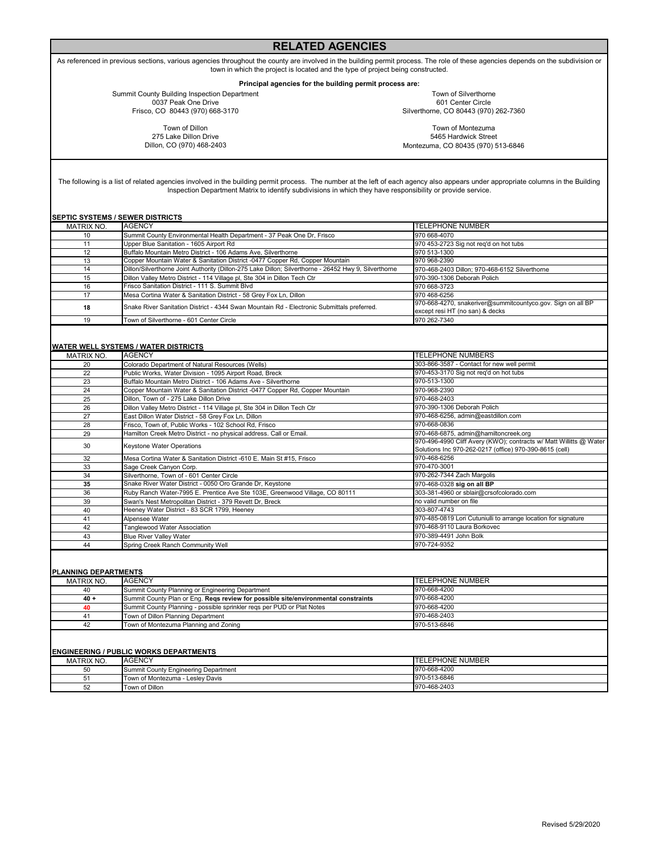## **RELATED AGENCIES**

As referenced in previous sections, various agencies throughout the county are involved in the building permit process. The role of these agencies depends on the subdivision or town in which the project is located and the type of project being constructed.

**Principal agencies for the building permit process are:** 

Summit County Building Inspection Department 0037 Peak One Drive Frisco, CO 80443 (970) 668-3170

Town of Silverthorne 601 Center Circle Silverthorne, CO 80443 (970) 262-7360

Town of Dillon 275 Lake Dillon Drive Dillon, CO (970) 468-2403

Town of Montezuma 5465 Hardwick Street Montezuma, CO 80435 (970) 513-6846

The following is a list of related agencies involved in the building permit process. The number at the left of each agency also appears under appropriate columns in the Building Inspection Department Matrix to identify subdivisions in which they have responsibility or provide service.

| SEPTIC SYSTEMS / SEWER DISTRICTS |                                                                                                       |                                                             |  |  |  |  |
|----------------------------------|-------------------------------------------------------------------------------------------------------|-------------------------------------------------------------|--|--|--|--|
| MATRIX NO.                       | AGENCY                                                                                                | <b>TELEPHONE NUMBER</b>                                     |  |  |  |  |
| 10                               | Summit County Environmental Health Department - 37 Peak One Dr, Frisco                                | 970 668-4070                                                |  |  |  |  |
| 11                               | Upper Blue Sanitation - 1605 Airport Rd                                                               | 970 453-2723 Sig not reg'd on hot tubs                      |  |  |  |  |
| 12                               | Buffalo Mountain Metro District - 106 Adams Ave, Silverthorne                                         | 970 513-1300                                                |  |  |  |  |
| 13                               | Copper Mountain Water & Sanitation District -0477 Copper Rd. Copper Mountain                          | 970 968-2390                                                |  |  |  |  |
| 14                               | Dillon/Silverthorne Joint Authority (Dillon-275 Lake Dillon; Silverthorne - 26452 Hwy 9, Silverthorne | 970-468-2403 Dillon; 970-468-6152 Silverthorne              |  |  |  |  |
| 15                               | Dillon Valley Metro District - 114 Village pl, Ste 304 in Dillon Tech Ctr                             | 970-390-1306 Deborah Polich                                 |  |  |  |  |
| 16                               | Frisco Sanitation District - 111 S. Summit Blvd                                                       | 970 668-3723                                                |  |  |  |  |
| 17                               | Mesa Cortina Water & Sanitation District - 58 Grey Fox Ln, Dillon                                     | 970 468-6256                                                |  |  |  |  |
| 18                               | Snake River Sanitation District - 4344 Swan Mountain Rd - Electronic Submittals preferred.            | 970-668-4270, snakeriver@summitcountyco.gov. Sign on all BP |  |  |  |  |
|                                  |                                                                                                       | except resi HT (no san) & decks                             |  |  |  |  |
| 19                               | Town of Silverthorne - 601 Center Circle                                                              | 970 262-7340                                                |  |  |  |  |

### **WATER WELL SYSTEMS / WATER DISTRICTS**

| <b>MATRIX NO.</b> | <b>AGENCY</b>                                                                | <b>TELEPHONE NUMBERS</b>                                           |
|-------------------|------------------------------------------------------------------------------|--------------------------------------------------------------------|
| 20                | Colorado Department of Natural Resources (Wells)                             | 303-866-3587 - Contact for new well permit                         |
| 22                | Public Works, Water Division - 1095 Airport Road, Breck                      | 970-453-3170 Sig not reg'd on hot tubs                             |
| 23                | Buffalo Mountain Metro District - 106 Adams Ave - Silverthorne               | 970-513-1300                                                       |
| 24                | Copper Mountain Water & Sanitation District -0477 Copper Rd, Copper Mountain | 970-968-2390                                                       |
| 25                | Dillon. Town of - 275 Lake Dillon Drive                                      | 970-468-2403                                                       |
| 26                | Dillon Valley Metro District - 114 Village pl, Ste 304 in Dillon Tech Ctr    | 970-390-1306 Deborah Polich                                        |
| 27                | East Dillon Water District - 58 Grey Fox Ln, Dillon                          | 970-468-6256, admin@eastdillon.com                                 |
| 28                | Frisco, Town of, Public Works - 102 School Rd, Frisco                        | 970-668-0836                                                       |
| 29                | Hamilton Creek Metro District - no physical address. Call or Email.          | 970-468-6875, admin@hamiltoncreek.org                              |
| 30                | <b>Keystone Water Operations</b>                                             | 970-496-4990 Cliff Avery (KWO); contracts w/ Matt Willitts @ Water |
|                   |                                                                              | Solutions Inc 970-262-0217 (office) 970-390-8615 (cell)            |
| 32                | Mesa Cortina Water & Sanitation District -610 E. Main St #15, Frisco         | 970-468-6256                                                       |
| 33                | Sage Creek Canyon Corp.                                                      | 970-470-3001                                                       |
| 34                | Silverthorne, Town of - 601 Center Circle                                    | 970-262-7344 Zach Margolis                                         |
| 35                | Snake River Water District - 0050 Oro Grande Dr, Keystone                    | 970-468-0328 sig on all BP                                         |
| 36                | Ruby Ranch Water-7995 E. Prentice Ave Ste 103E, Greenwood Village, CO 80111  | 303-381-4960 or sblair@crsofcolorado.com                           |
| 39                | Swan's Nest Metropolitan District - 379 Revett Dr, Breck                     | no valid number on file                                            |
| 40                | Heeney Water District - 83 SCR 1799, Heeney                                  | 303-807-4743                                                       |
| 41                | Alpensee Water                                                               | 970-485-0819 Lori Cutuniulli to arrange location for signature     |
| 42                | Tanglewood Water Association                                                 | 970-468-9110 Laura Borkovec                                        |
| 43                | <b>Blue River Valley Water</b>                                               | 970-389-4491 John Bolk                                             |
| 44                | Spring Creek Ranch Community Well                                            | 970-724-9352                                                       |
|                   |                                                                              |                                                                    |

## **PLANNING DEPARTMENTS**

| MATRIX NO. | <b>AGENCY</b>                                                                      | <b>ITELEPHONE NUMBER</b> |
|------------|------------------------------------------------------------------------------------|--------------------------|
| 40         | Summit County Planning or Engineering Department                                   | 970-668-4200             |
| $40 +$     | Summit County Plan or Eng. Regs review for possible site/environmental constraints | 970-668-4200             |
| 40         | Summit County Planning - possible sprinkler reqs per PUD or Plat Notes             | 970-668-4200             |
| 41         | Town of Dillon Planning Department                                                 | 970-468-2403             |
| 42         | Town of Montezuma Planning and Zoning                                              | 970-513-6846             |

#### **ENGINEERING / PUBLIC WORKS DEPARTMENTS**

| י טוויוויורא ובע טוויטיוי טובשט ו ו טוויורבבוזווט |                                      |                         |  |  |  |  |  |
|---------------------------------------------------|--------------------------------------|-------------------------|--|--|--|--|--|
| MATRIX NO.                                        | <b>AGENCY</b>                        | <b>TELEPHONE NUMBER</b> |  |  |  |  |  |
| 50<br>vv                                          | Summit County Engineering Department | 970-668-4200            |  |  |  |  |  |
| ∽<br>ັ                                            | Town of Montezuma - Leslev Davis     | 970-513-6846            |  |  |  |  |  |
| 52                                                | Town of Dillon                       | 970-468-2403            |  |  |  |  |  |